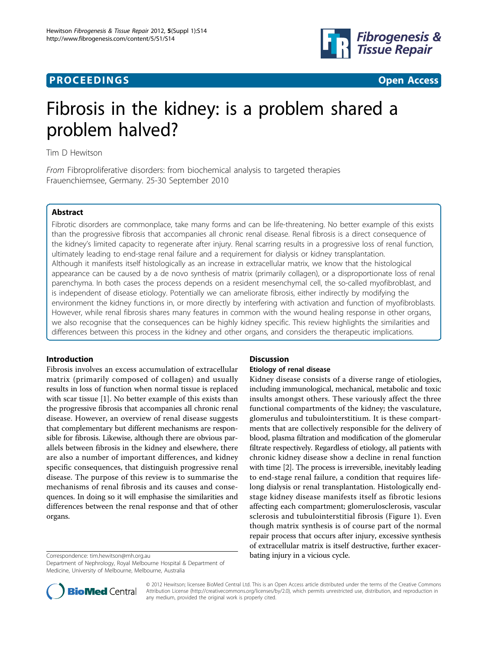## **PROCEEDINGS CONSUMING S** Open Access **CONSUMING S**



# Fibrosis in the kidney: is a problem shared a problem halved?

Tim D Hewitson

From Fibroproliferative disorders: from biochemical analysis to targeted therapies Frauenchiemsee, Germany. 25-30 September 2010

## Abstract

Fibrotic disorders are commonplace, take many forms and can be life-threatening. No better example of this exists than the progressive fibrosis that accompanies all chronic renal disease. Renal fibrosis is a direct consequence of the kidney's limited capacity to regenerate after injury. Renal scarring results in a progressive loss of renal function, ultimately leading to end-stage renal failure and a requirement for dialysis or kidney transplantation. Although it manifests itself histologically as an increase in extracellular matrix, we know that the histological appearance can be caused by a de novo synthesis of matrix (primarily collagen), or a disproportionate loss of renal parenchyma. In both cases the process depends on a resident mesenchymal cell, the so-called myofibroblast, and is independent of disease etiology. Potentially we can ameliorate fibrosis, either indirectly by modifying the environment the kidney functions in, or more directly by interfering with activation and function of myofibroblasts. However, while renal fibrosis shares many features in common with the wound healing response in other organs, we also recognise that the consequences can be highly kidney specific. This review highlights the similarities and differences between this process in the kidney and other organs, and considers the therapeutic implications.

## Introduction

Fibrosis involves an excess accumulation of extracellular matrix (primarily composed of collagen) and usually results in loss of function when normal tissue is replaced with scar tissue [[1\]](#page-3-0). No better example of this exists than the progressive fibrosis that accompanies all chronic renal disease. However, an overview of renal disease suggests that complementary but different mechanisms are responsible for fibrosis. Likewise, although there are obvious parallels between fibrosis in the kidney and elsewhere, there are also a number of important differences, and kidney specific consequences, that distinguish progressive renal disease. The purpose of this review is to summarise the mechanisms of renal fibrosis and its causes and consequences. In doing so it will emphasise the similarities and differences between the renal response and that of other organs.

Department of Nephrology, Royal Melbourne Hospital & Department of Medicine, University of Melbourne, Melbourne, Australia

## **Discussion**

#### Etiology of renal disease

Kidney disease consists of a diverse range of etiologies, including immunological, mechanical, metabolic and toxic insults amongst others. These variously affect the three functional compartments of the kidney; the vasculature, glomerulus and tubulointerstitium. It is these compartments that are collectively responsible for the delivery of blood, plasma filtration and modification of the glomerular filtrate respectively. Regardless of etiology, all patients with chronic kidney disease show a decline in renal function with time [\[2](#page-3-0)]. The process is irreversible, inevitably leading to end-stage renal failure, a condition that requires lifelong dialysis or renal transplantation. Histologically endstage kidney disease manifests itself as fibrotic lesions affecting each compartment; glomerulosclerosis, vascular sclerosis and tubulointerstitial fibrosis (Figure [1](#page-1-0)). Even though matrix synthesis is of course part of the normal repair process that occurs after injury, excessive synthesis of extracellular matrix is itself destructive, further exacerCorrespondence: [tim.hewitson@mh.org.au](mailto:tim.hewitson@mh.org.au) bating injury in a vicious cycle.



© 2012 Hewitson; licensee BioMed Central Ltd. This is an Open Access article distributed under the terms of the Creative Commons Attribution License [\(http://creativecommons.org/licenses/by/2.0](http://creativecommons.org/licenses/by/2.0)), which permits unrestricted use, distribution, and reproduction in any medium, provided the original work is properly cited.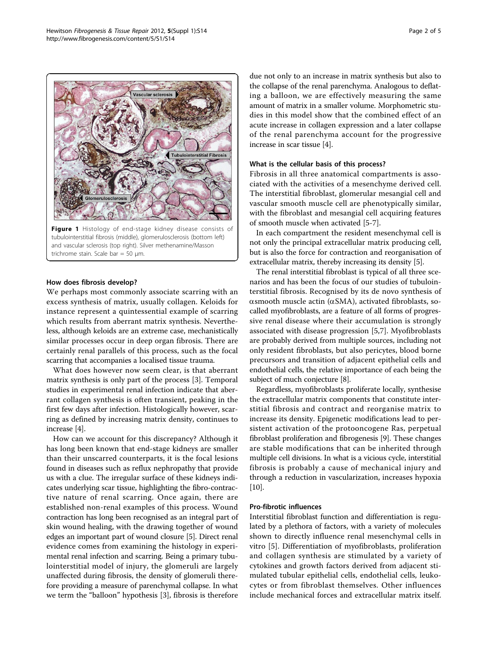<span id="page-1-0"></span>

Figure 1 Histology of end-stage kidney disease consists of tubulointerstitial fibrosis (middle), glomerulosclerosis (bottom left) and vascular sclerosis (top right). Silver methenamine/Masson trichrome stain. Scale bar = 50  $\mu$ m.

#### How does fibrosis develop?

We perhaps most commonly associate scarring with an excess synthesis of matrix, usually collagen. Keloids for instance represent a quintessential example of scarring which results from aberrant matrix synthesis. Nevertheless, although keloids are an extreme case, mechanistically similar processes occur in deep organ fibrosis. There are certainly renal parallels of this process, such as the focal scarring that accompanies a localised tissue trauma.

What does however now seem clear, is that aberrant matrix synthesis is only part of the process [\[3](#page-3-0)]. Temporal studies in experimental renal infection indicate that aberrant collagen synthesis is often transient, peaking in the first few days after infection. Histologically however, scarring as defined by increasing matrix density, continues to increase [[4](#page-3-0)].

How can we account for this discrepancy? Although it has long been known that end-stage kidneys are smaller than their unscarred counterparts, it is the focal lesions found in diseases such as reflux nephropathy that provide us with a clue. The irregular surface of these kidneys indicates underlying scar tissue, highlighting the fibro-contractive nature of renal scarring. Once again, there are established non-renal examples of this process. Wound contraction has long been recognised as an integral part of skin wound healing, with the drawing together of wound edges an important part of wound closure [\[5](#page-3-0)]. Direct renal evidence comes from examining the histology in experimental renal infection and scarring. Being a primary tubulointerstitial model of injury, the glomeruli are largely unaffected during fibrosis, the density of glomeruli therefore providing a measure of parenchymal collapse. In what we term the "balloon" hypothesis [[3\]](#page-3-0), fibrosis is therefore

due not only to an increase in matrix synthesis but also to the collapse of the renal parenchyma. Analogous to deflating a balloon, we are effectively measuring the same amount of matrix in a smaller volume. Morphometric studies in this model show that the combined effect of an acute increase in collagen expression and a later collapse of the renal parenchyma account for the progressive increase in scar tissue [[4](#page-3-0)].

### What is the cellular basis of this process?

Fibrosis in all three anatomical compartments is associated with the activities of a mesenchyme derived cell. The interstitial fibroblast, glomerular mesangial cell and vascular smooth muscle cell are phenotypically similar, with the fibroblast and mesangial cell acquiring features of smooth muscle when activated [\[5](#page-3-0)-[7\]](#page-3-0).

In each compartment the resident mesenchymal cell is not only the principal extracellular matrix producing cell, but is also the force for contraction and reorganisation of extracellular matrix, thereby increasing its density [\[5\]](#page-3-0).

The renal interstitial fibroblast is typical of all three scenarios and has been the focus of our studies of tubulointerstitial fibrosis. Recognised by its de novo synthesis of  $\alpha$ smooth muscle actin ( $\alpha$ SMA), activated fibroblasts, socalled myofibroblasts, are a feature of all forms of progressive renal disease where their accumulation is strongly associated with disease progression [[5,7\]](#page-3-0). Myofibroblasts are probably derived from multiple sources, including not only resident fibroblasts, but also pericytes, blood borne precursors and transition of adjacent epithelial cells and endothelial cells, the relative importance of each being the subject of much conjecture [\[8](#page-3-0)].

Regardless, myofibroblasts proliferate locally, synthesise the extracellular matrix components that constitute interstitial fibrosis and contract and reorganise matrix to increase its density. Epigenetic modifications lead to persistent activation of the protooncogene Ras, perpetual fibroblast proliferation and fibrogenesis [\[9](#page-3-0)]. These changes are stable modifications that can be inherited through multiple cell divisions. In what is a vicious cycle, interstitial fibrosis is probably a cause of mechanical injury and through a reduction in vascularization, increases hypoxia [[10](#page-3-0)].

#### Pro-fibrotic influences

Interstitial fibroblast function and differentiation is regulated by a plethora of factors, with a variety of molecules shown to directly influence renal mesenchymal cells in vitro [[5\]](#page-3-0). Differentiation of myofibroblasts, proliferation and collagen synthesis are stimulated by a variety of cytokines and growth factors derived from adjacent stimulated tubular epithelial cells, endothelial cells, leukocytes or from fibroblast themselves. Other influences include mechanical forces and extracellular matrix itself.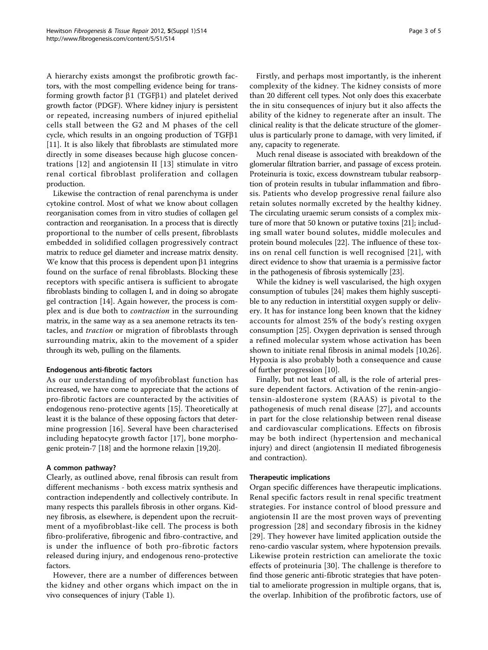A hierarchy exists amongst the profibrotic growth factors, with the most compelling evidence being for transforming growth factor  $\beta1$  (TGF $\beta1$ ) and platelet derived growth factor (PDGF). Where kidney injury is persistent or repeated, increasing numbers of injured epithelial cells stall between the G2 and M phases of the cell cycle, which results in an ongoing production of  $TGF\beta1$ [[11\]](#page-3-0). It is also likely that fibroblasts are stimulated more directly in some diseases because high glucose concentrations [\[12\]](#page-3-0) and angiotensin II [[13](#page-3-0)] stimulate in vitro renal cortical fibroblast proliferation and collagen production.

Likewise the contraction of renal parenchyma is under cytokine control. Most of what we know about collagen reorganisation comes from in vitro studies of collagen gel contraction and reorganisation. In a process that is directly proportional to the number of cells present, fibroblasts embedded in solidified collagen progressively contract matrix to reduce gel diameter and increase matrix density. We know that this process is dependent upon  $\beta$ 1 integrins found on the surface of renal fibroblasts. Blocking these receptors with specific antisera is sufficient to abrogate fibroblasts binding to collagen I, and in doing so abrogate gel contraction [[14\]](#page-3-0). Again however, the process is complex and is due both to contraction in the surrounding matrix, in the same way as a sea anemone retracts its tentacles, and traction or migration of fibroblasts through surrounding matrix, akin to the movement of a spider through its web, pulling on the filaments.

#### Endogenous anti-fibrotic factors

As our understanding of myofibroblast function has increased, we have come to appreciate that the actions of pro-fibrotic factors are counteracted by the activities of endogenous reno-protective agents [[15\]](#page-3-0). Theoretically at least it is the balance of these opposing factors that determine progression [[16](#page-3-0)]. Several have been characterised including hepatocyte growth factor [[17](#page-3-0)], bone morphogenic protein-7 [\[18\]](#page-3-0) and the hormone relaxin [[19,20\]](#page-3-0).

#### A common pathway?

Clearly, as outlined above, renal fibrosis can result from different mechanisms - both excess matrix synthesis and contraction independently and collectively contribute. In many respects this parallels fibrosis in other organs. Kidney fibrosis, as elsewhere, is dependent upon the recruitment of a myofibroblast-like cell. The process is both fibro-proliferative, fibrogenic and fibro-contractive, and is under the influence of both pro-fibrotic factors released during injury, and endogenous reno-protective factors.

However, there are a number of differences between the kidney and other organs which impact on the in vivo consequences of injury (Table [1\)](#page-3-0).

Firstly, and perhaps most importantly, is the inherent complexity of the kidney. The kidney consists of more than 20 different cell types. Not only does this exacerbate the in situ consequences of injury but it also affects the ability of the kidney to regenerate after an insult. The clinical reality is that the delicate structure of the glomerulus is particularly prone to damage, with very limited, if any, capacity to regenerate.

Much renal disease is associated with breakdown of the glomerular filtration barrier, and passage of excess protein. Proteinuria is toxic, excess downstream tubular reabsorption of protein results in tubular inflammation and fibrosis. Patients who develop progressive renal failure also retain solutes normally excreted by the healthy kidney. The circulating uraemic serum consists of a complex mixture of more that 50 known or putative toxins [\[21\]](#page-3-0); including small water bound solutes, middle molecules and protein bound molecules [[22](#page-3-0)]. The influence of these toxins on renal cell function is well recognised [[21\]](#page-3-0), with direct evidence to show that uraemia is a permissive factor in the pathogenesis of fibrosis systemically [[23](#page-3-0)].

While the kidney is well vascularised, the high oxygen consumption of tubules [\[24\]](#page-3-0) makes them highly susceptible to any reduction in interstitial oxygen supply or delivery. It has for instance long been known that the kidney accounts for almost 25% of the body's resting oxygen consumption [[25\]](#page-3-0). Oxygen deprivation is sensed through a refined molecular system whose activation has been shown to initiate renal fibrosis in animal models [[10,26](#page-3-0)]. Hypoxia is also probably both a consequence and cause of further progression [\[10](#page-3-0)].

Finally, but not least of all, is the role of arterial pressure dependent factors. Activation of the renin-angiotensin-aldosterone system (RAAS) is pivotal to the pathogenesis of much renal disease [[27](#page-3-0)], and accounts in part for the close relationship between renal disease and cardiovascular complications. Effects on fibrosis may be both indirect (hypertension and mechanical injury) and direct (angiotensin II mediated fibrogenesis and contraction).

#### Therapeutic implications

Organ specific differences have therapeutic implications. Renal specific factors result in renal specific treatment strategies. For instance control of blood pressure and angiotensin II are the most proven ways of preventing progression [[28](#page-3-0)] and secondary fibrosis in the kidney [[29](#page-3-0)]. They however have limited application outside the reno-cardio vascular system, where hypotension prevails. Likewise protein restriction can ameliorate the toxic effects of proteinuria [[30\]](#page-3-0). The challenge is therefore to find those generic anti-fibrotic strategies that have potential to ameliorate progression in multiple organs, that is, the overlap. Inhibition of the profibrotic factors, use of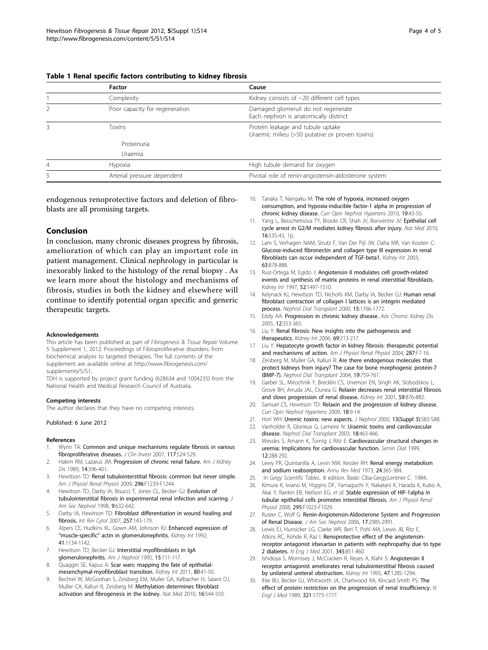|   | Factor                         | Cause                                                                               |
|---|--------------------------------|-------------------------------------------------------------------------------------|
|   | Complexity                     | Kidney consists of $\sim$ 20 different cell types                                   |
|   | Poor capacity for regeneration | Damaged glomeruli do not regenerate<br>Each nephron is anatomically distinct        |
|   | <b>Toxins</b>                  | Protein leakage and tubule uptake<br>Uraemic milieu (>50 putative or proven toxins) |
|   | Proteinuria                    |                                                                                     |
|   | Uraemia                        |                                                                                     |
| 4 | Hypoxia                        | High tubule demand for oxygen                                                       |
|   | Arterial pressure dependent    | Pivotal role of renin-angiotensin-aldosterone system                                |

#### <span id="page-3-0"></span>Table 1 Renal specific factors contributing to kidney fibrosis

endogenous renoprotective factors and deletion of fibroblasts are all promising targets.

#### Conclusion

In conclusion, many chronic diseases progress by fibrosis, amelioration of which can play an important role in patient management. Clinical nephrology in particular is inexorably linked to the histology of the renal biopsy . As we learn more about the histology and mechanisms of fibrosis, studies in both the kidney and elsewhere will continue to identify potential organ specific and generic therapeutic targets.

#### Acknowledgements

This article has been published as part of Fibrogenesis & Tissue Repair Volume 5 Supplement 1, 2012: Proceedings of Fibroproliferative disorders: from biochemical analysis to targeted therapies. The full contents of the supplement are available online at [http://www.fibrogenesis.com/](http://www.fibrogenesis.com/supplements/5/S1) [supplements/5/S1.](http://www.fibrogenesis.com/supplements/5/S1)

TDH is supported by project grant funding (628634 and 1004235) from the National Health and Medical Research Council of Australia.

#### Competing interests

The author declares that they have no competing interests.

#### Published: 6 June 2012

#### References

- 1. Wynn TA: [Common and unique mechanisms regulate fibrosis in various](http://www.ncbi.nlm.nih.gov/pubmed/17332879?dopt=Abstract) [fibroproliferative diseases.](http://www.ncbi.nlm.nih.gov/pubmed/17332879?dopt=Abstract) J Clin Invest 2007, 117:524-529.
- 2. Hakim RM, Lazarus JM: [Progression of chronic renal failure.](http://www.ncbi.nlm.nih.gov/pubmed/2816931?dopt=Abstract) Am J Kidney Dis 1989, 14:396-401.
- 3. Hewitson TD: [Renal tubulointerstitial fibrosis: common but never simple.](http://www.ncbi.nlm.nih.gov/pubmed/19144691?dopt=Abstract) Am J Physiol Renal Physiol 2009, 296:F1239-F1244.
- Hewitson TD, Darby IA, Bisucci T, Jones CL, Becker GJ: [Evolution of](http://www.ncbi.nlm.nih.gov/pubmed/9555666?dopt=Abstract) [tubulointerstitial fibrosis in experimental renal infection and scarring.](http://www.ncbi.nlm.nih.gov/pubmed/9555666?dopt=Abstract) J Am Soc Nephrol 1998, 9:632-642.
- 5. Darby IA, Hewitson TD: [Fibroblast differentiation in wound healing and](http://www.ncbi.nlm.nih.gov/pubmed/17280897?dopt=Abstract) [fibrosis.](http://www.ncbi.nlm.nih.gov/pubmed/17280897?dopt=Abstract) Int Rev Cytol 2007, 257:143-179.
- Alpers CE, Hudkins KL, Gown AM, Johnson RJ: [Enhanced expression of](http://www.ncbi.nlm.nih.gov/pubmed/1351954?dopt=Abstract) "muscle-specific" [actin in glomerulonephritis.](http://www.ncbi.nlm.nih.gov/pubmed/1351954?dopt=Abstract) Kidney Int 1992, 41:1134-1142.
- 7. Hewitson TD, Becker GJ: [Interstitial myofibroblasts in IgA](http://www.ncbi.nlm.nih.gov/pubmed/7733146?dopt=Abstract) [glomerulonephritis.](http://www.ncbi.nlm.nih.gov/pubmed/7733146?dopt=Abstract) Am J Nephrol 1995, 15:111-117.
- 8. Quaggin SE, Kapus A: [Scar wars: mapping the fate of epithelial](http://www.ncbi.nlm.nih.gov/pubmed/21430641?dopt=Abstract)[mesenchymal-myofibroblast transition.](http://www.ncbi.nlm.nih.gov/pubmed/21430641?dopt=Abstract) Kidney Int 2011, 80:41-50.
- 9. Bechtel W, McGoohan S, Zeisberg EM, Muller GA, Kalbacher H, Salant DJ, Muller CA, Kalluri R, Zeisberg M: [Methylation determines fibroblast](http://www.ncbi.nlm.nih.gov/pubmed/20418885?dopt=Abstract) [activation and fibrogenesis in the kidney.](http://www.ncbi.nlm.nih.gov/pubmed/20418885?dopt=Abstract) Nat Med 2010, 16:544-550.
- 10. Tanaka T, Nangaku M: [The role of hypoxia, increased oxygen](http://www.ncbi.nlm.nih.gov/pubmed/19779337?dopt=Abstract) [consumption, and hypoxia-inducible factor-1 alpha in progression of](http://www.ncbi.nlm.nih.gov/pubmed/19779337?dopt=Abstract) [chronic kidney disease.](http://www.ncbi.nlm.nih.gov/pubmed/19779337?dopt=Abstract) Curr Opin Nephrol Hypertens 2010, 19:43-50.
- 11. Yang L, Besschetnova TY, Brooks CR, Shah JV, Bonventre JV: [Epithelial cell](http://www.ncbi.nlm.nih.gov/pubmed/20436483?dopt=Abstract) [cycle arrest in G2/M mediates kidney fibrosis after injury.](http://www.ncbi.nlm.nih.gov/pubmed/20436483?dopt=Abstract) Nat Med 2010, 16:535-43, 1p.
- 12. Lam S, Verhagen NAM, Strutz F, Van Der Pijl JW, Daha MR, Van Kooten C: [Glucose-induced fibronectin and collagen type III expression in renal](http://www.ncbi.nlm.nih.gov/pubmed/12631068?dopt=Abstract) [fibroblasts can occur independent of TGF-beta1.](http://www.ncbi.nlm.nih.gov/pubmed/12631068?dopt=Abstract) Kidney Int 2003, 63:878-888.
- 13. Ruiz-Ortega M, Egido J: [Angiotensin II modulates cell growth-related](http://www.ncbi.nlm.nih.gov/pubmed/9407495?dopt=Abstract) [events and synthesis of matrix proteins in renal interstitial fibroblasts.](http://www.ncbi.nlm.nih.gov/pubmed/9407495?dopt=Abstract) Kidney Int 1997, 52:1497-1510.
- 14. Kelynack KJ, Hewitson TD, Nicholls KM, Darby IA, Becker GJ: [Human renal](http://www.ncbi.nlm.nih.gov/pubmed/11071963?dopt=Abstract) [fibroblast contraction of collagen I lattices is an integrin mediated](http://www.ncbi.nlm.nih.gov/pubmed/11071963?dopt=Abstract) [process.](http://www.ncbi.nlm.nih.gov/pubmed/11071963?dopt=Abstract) Nephrol Dial Transplant 2000, 15:1766-1772.
- 15. Eddy AA: Progression [in chronic kidney disease.](http://www.ncbi.nlm.nih.gov/pubmed/16198274?dopt=Abstract) Adv Chronic Kidney Dis 2005, 12:353-365.
- 16. Liu Y: [Renal fibrosis: New insights into the pathogenesis and](http://www.ncbi.nlm.nih.gov/pubmed/16408108?dopt=Abstract) [therapeutics.](http://www.ncbi.nlm.nih.gov/pubmed/16408108?dopt=Abstract) Kidney Int 2006, 69:213-217.
- 17. Liu Y: [Hepatocyte growth factor in kidney fibrosis: therapeutic potential](http://www.ncbi.nlm.nih.gov/pubmed/15180923?dopt=Abstract) [and mechanisms of action.](http://www.ncbi.nlm.nih.gov/pubmed/15180923?dopt=Abstract) Am J Physiol Renal Physiol 2004, 287:F7-16.
- 18. Zeisberg M, Muller GA, Kalluri R: [Are there endogenous molecules that](http://www.ncbi.nlm.nih.gov/pubmed/15031324?dopt=Abstract) [protect kidneys from injury? The case for bone morphogenic protein-7](http://www.ncbi.nlm.nih.gov/pubmed/15031324?dopt=Abstract) [\(BMP-7\).](http://www.ncbi.nlm.nih.gov/pubmed/15031324?dopt=Abstract) Nephrol Dial Transplant 2004, 19:759-761.
- 19. Garber SL, Mirochnik Y, Brecklin CS, Unemori EN, Singh AK, Slobodskoy L, Grove BH, Arruda JAL, Dunea G: [Relaxin decreases renal interstitial fibrosis](http://www.ncbi.nlm.nih.gov/pubmed/11231342?dopt=Abstract) [and slows progression of renal disease.](http://www.ncbi.nlm.nih.gov/pubmed/11231342?dopt=Abstract) Kidney Int 2001, 59:876-882.
- 20. Samuel CS, Hewitson TD: [Relaxin and the progression of kidney disease.](http://www.ncbi.nlm.nih.gov/pubmed/19077683?dopt=Abstract) Curr Opin Nephrol Hypertens 2009, 18:9-14.
- 21. Horl WH: [Uremic toxins: new aspects.](http://www.ncbi.nlm.nih.gov/pubmed/11132038?dopt=Abstract) J Nephrol 2000, 13(Suppl 3):S83-S88.
- 22. Vanholder R, Glorieux G, Lameire N: [Uraemic toxins and cardiovascular](http://www.ncbi.nlm.nih.gov/pubmed/12584262?dopt=Abstract)
- [disease.](http://www.ncbi.nlm.nih.gov/pubmed/12584262?dopt=Abstract) Nephrol Dial Transplant 2003, 18:463-466. 23. Wessles S, Amann K, Tornig J, Ritz E: Cardiovascular structural changes in
- uremia: Implications for cardiovascular function. Semin Dial 1999, 12:288-292.
- 24. Lewy PR, Quintanilla A, Levin NW, Kessler RH: [Renal energy metabolism](http://www.ncbi.nlm.nih.gov/pubmed/4268018?dopt=Abstract) [and sodium reabsorption.](http://www.ncbi.nlm.nih.gov/pubmed/4268018?dopt=Abstract) Annu Rev Med 1973, 24:365-384.
- 25. In Geigy Scientific Tables.. 8 edition. Basle: Ciba-Geigy;Lentner C 1984:.
- 26. Kimura K, Iwano M, Higgins DF, Yamaguchi Y, Nakatani K, Harada K, Kubo A, Akai Y, Rankin EB, Neilson EG, et al: [Stable expression of HIF-1alpha in](http://www.ncbi.nlm.nih.gov/pubmed/18667485?dopt=Abstract) [tubular epithelial cells promotes interstitial fibrosis.](http://www.ncbi.nlm.nih.gov/pubmed/18667485?dopt=Abstract) Am J Physiol Renal Physiol 2008, 295:F1023-F1029.
- 27. Ruster C, Wolf G: [Renin-Angiotensin-Aldosterone System and Progression](http://www.ncbi.nlm.nih.gov/pubmed/17035613?dopt=Abstract) [of Renal Disease.](http://www.ncbi.nlm.nih.gov/pubmed/17035613?dopt=Abstract) J Am Soc Nephrol 2006, 17:2985-2991.
- 28. Lewis EJ, Hunsicker LG, Clarke WR, Berl T, Pohl MA, Lewis JB, Ritz E, Atkins RC, Rohde R, Raz I: Renoprotective effect of the angiotensinreceptor antagonist irbesartan in patients with nephropathy due to type 2 diabetes. N Eng J Med 2001, 345:851-860.
- 29. Ishidoya S, Morrissey J, McCracken R, Reyes A, Klahr S: [Angiotensin II](http://www.ncbi.nlm.nih.gov/pubmed/7637258?dopt=Abstract) [receptor antagonist ameliorates renal tubulointerstitial fibrosis caused](http://www.ncbi.nlm.nih.gov/pubmed/7637258?dopt=Abstract) [by unilateral ureteral obstruction.](http://www.ncbi.nlm.nih.gov/pubmed/7637258?dopt=Abstract) Kidney Int 1995, 47:1285-1294.
- 30. Ihle BU, Becker GJ, Whitworth JA, Charlwood RA, Kincaid-Smith PS: [The](http://www.ncbi.nlm.nih.gov/pubmed/2512486?dopt=Abstract) [effect of protein restriction on the progression of renal insufficiency.](http://www.ncbi.nlm.nih.gov/pubmed/2512486?dopt=Abstract) N Engl J Med 1989, 321:1773-1777.